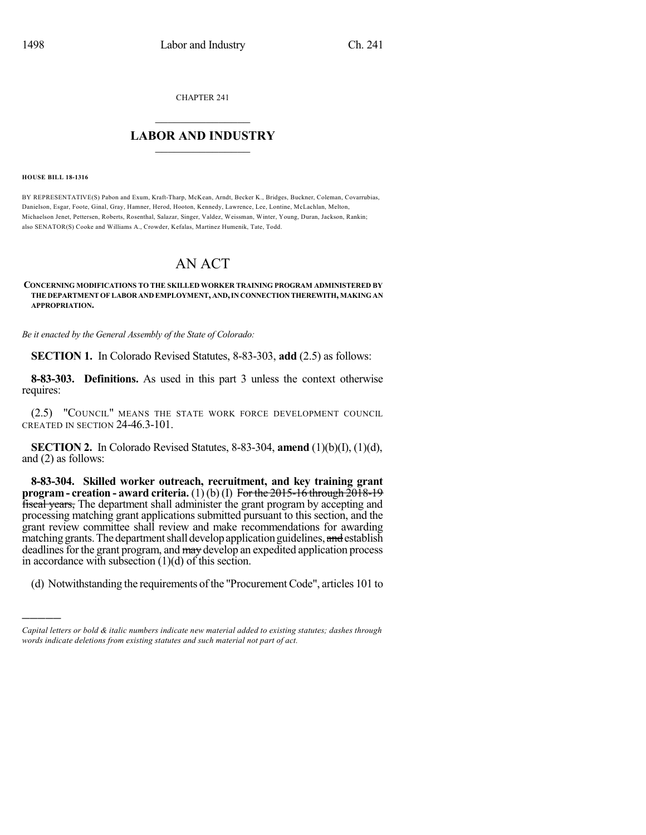CHAPTER 241

## $\overline{\phantom{a}}$  . The set of the set of the set of the set of the set of the set of the set of the set of the set of the set of the set of the set of the set of the set of the set of the set of the set of the set of the set o **LABOR AND INDUSTRY**  $\frac{1}{\sqrt{2}}$  ,  $\frac{1}{\sqrt{2}}$  ,  $\frac{1}{\sqrt{2}}$  ,  $\frac{1}{\sqrt{2}}$  ,  $\frac{1}{\sqrt{2}}$  ,  $\frac{1}{\sqrt{2}}$

**HOUSE BILL 18-1316**

)))))

BY REPRESENTATIVE(S) Pabon and Exum, Kraft-Tharp, McKean, Arndt, Becker K., Bridges, Buckner, Coleman, Covarrubias, Danielson, Esgar, Foote, Ginal, Gray, Hamner, Herod, Hooton, Kennedy, Lawrence, Lee, Lontine, McLachlan, Melton, Michaelson Jenet, Pettersen, Roberts, Rosenthal, Salazar, Singer, Valdez, Weissman, Winter, Young, Duran, Jackson, Rankin; also SENATOR(S) Cooke and Williams A., Crowder, Kefalas, Martinez Humenik, Tate, Todd.

## AN ACT

## **CONCERNING MODIFICATIONS TO THE SKILLED WORKER TRAINING PROGRAM ADMINISTERED BY THE DEPARTMENTOFLABOR AND EMPLOYMENT, AND,IN CONNECTION THEREWITH, MAKINGAN APPROPRIATION.**

*Be it enacted by the General Assembly of the State of Colorado:*

**SECTION 1.** In Colorado Revised Statutes, 8-83-303, **add** (2.5) as follows:

**8-83-303. Definitions.** As used in this part 3 unless the context otherwise requires:

(2.5) "COUNCIL" MEANS THE STATE WORK FORCE DEVELOPMENT COUNCIL CREATED IN SECTION 24-46.3-101.

**SECTION 2.** In Colorado Revised Statutes, 8-83-304, **amend** (1)(b)(I), (1)(d), and (2) as follows:

**8-83-304. Skilled worker outreach, recruitment, and key training grant program - creation - award criteria.** (1) (b) (I) For the 2015-16 through 2018-19 fiscal years, The department shall administer the grant program by accepting and processing matching grant applications submitted pursuant to this section, and the grant review committee shall review and make recommendations for awarding matching grants. The department shall develop application guidelines, and establish deadlines for the grant program, and may develop an expedited application process in accordance with subsection  $(1)(d)$  of this section.

(d) Notwithstanding the requirements of the "Procurement Code", articles 101 to

*Capital letters or bold & italic numbers indicate new material added to existing statutes; dashes through words indicate deletions from existing statutes and such material not part of act.*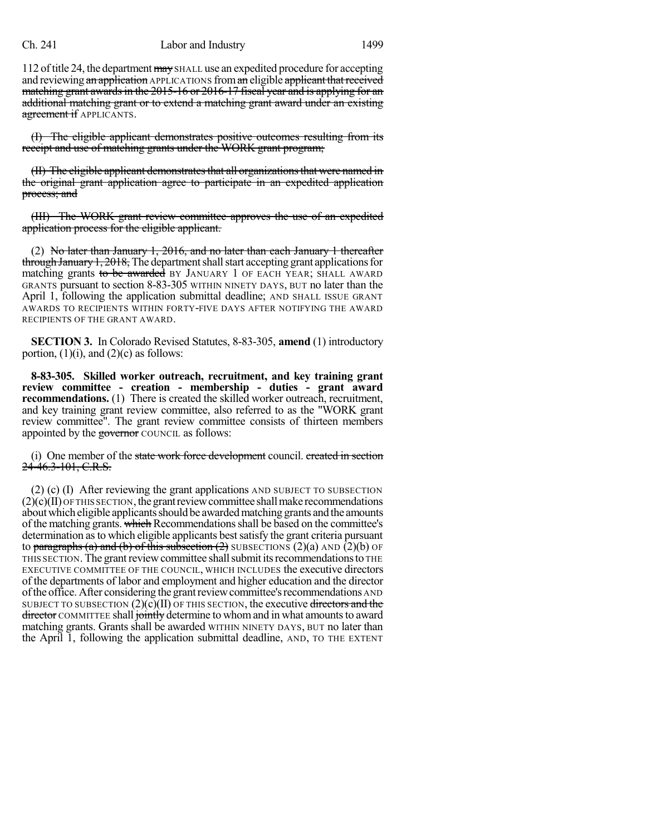## Ch. 241 Labor and Industry 1499

112 of title 24, the department may SHALL use an expedited procedure for accepting and reviewing an application APPLICATIONS from an eligible applicant that received matching grant awards in the 2015-16 or 2016-17 fiscal year and is applying for an additional matching grant or to extend a matching grant award under an existing agreement if APPLICANTS.

(I) The eligible applicant demonstrates positive outcomes resulting from its receipt and use of matching grants under the WORK grant program;

(II) The eligible applicant demonstratesthat all organizationsthat were named in the original grant application agree to participate in an expedited application process; and

(III) The WORK grant review committee approves the use of an expedited application process for the eligible applicant.

(2) No later than January 1, 2016, and no later than each January 1 thereafter  $t$ hrough January 1, 2018, The department shall start accepting grant applications for matching grants to be awarded BY JANUARY 1 OF EACH YEAR; SHALL AWARD GRANTS pursuant to section 8-83-305 WITHIN NINETY DAYS, BUT no later than the April 1, following the application submittal deadline; AND SHALL ISSUE GRANT AWARDS TO RECIPIENTS WITHIN FORTY-FIVE DAYS AFTER NOTIFYING THE AWARD RECIPIENTS OF THE GRANT AWARD.

**SECTION 3.** In Colorado Revised Statutes, 8-83-305, **amend** (1) introductory portion,  $(1)(i)$ , and  $(2)(c)$  as follows:

**8-83-305. Skilled worker outreach, recruitment, and key training grant review committee - creation - membership - duties - grant award recommendations.** (1) There is created the skilled worker outreach, recruitment, and key training grant review committee, also referred to as the "WORK grant review committee". The grant review committee consists of thirteen members appointed by the governor COUNCIL as follows:

(i) One member of the state work force development council. created in section 24-46.3-101, C.R.S.

(2) (c) (I) After reviewing the grant applications AND SUBJECT TO SUBSECTION  $(2)(c)(II)$  OF THIS SECTION, the grant review committee shall make recommendations about which eligible applicants should be awarded matching grants and the amounts of the matching grants. which Recommendations shall be based on the committee's determination asto which eligible applicants bestsatisfy the grant criteria pursuant to paragraphs (a) and (b) of this subsection  $(2)$  SUBSECTIONS  $(2)(a)$  AND  $(2)(b)$  OF THIS SECTION. The grantreviewcommittee shallsubmititsrecommendationsto THE EXECUTIVE COMMITTEE OF THE COUNCIL, WHICH INCLUDES the executive directors of the departments of labor and employment and higher education and the director ofthe office. After considering the grantreviewcommittee'srecommendations AND SUBJECT TO SUBSECTION  $(2)(c)(II)$  OF THIS SECTION, the executive directors and the director COMMITTEE shall jointly determine to whom and in what amounts to award matching grants. Grants shall be awarded WITHIN NINETY DAYS, BUT no later than the April 1, following the application submittal deadline, AND, TO THE EXTENT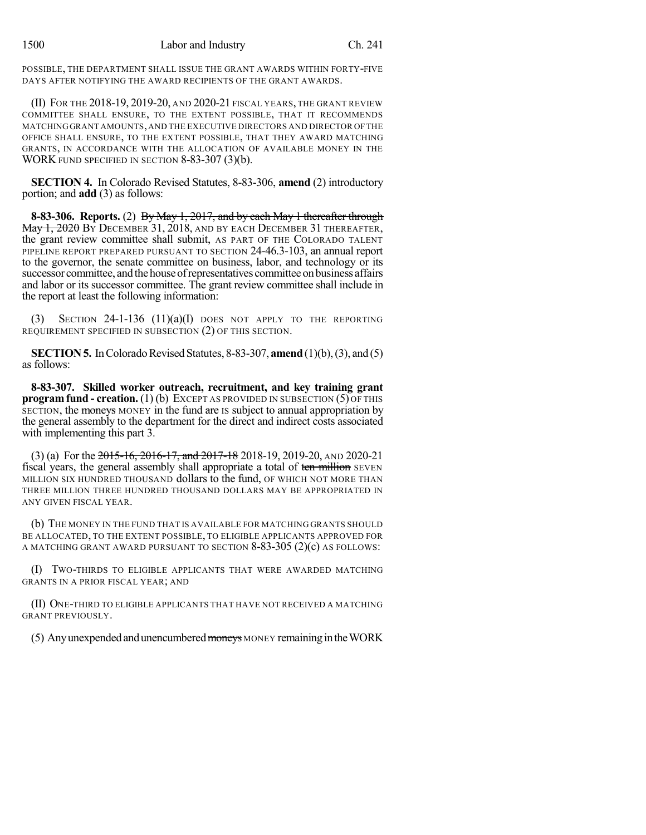POSSIBLE, THE DEPARTMENT SHALL ISSUE THE GRANT AWARDS WITHIN FORTY-FIVE DAYS AFTER NOTIFYING THE AWARD RECIPIENTS OF THE GRANT AWARDS.

(II) FOR THE 2018-19, 2019-20, AND 2020-21 FISCAL YEARS, THE GRANT REVIEW COMMITTEE SHALL ENSURE, TO THE EXTENT POSSIBLE, THAT IT RECOMMENDS MATCHINGGRANT AMOUNTS,AND THE EXECUTIVE DIRECTORS AND DIRECTOR OFTHE OFFICE SHALL ENSURE, TO THE EXTENT POSSIBLE, THAT THEY AWARD MATCHING GRANTS, IN ACCORDANCE WITH THE ALLOCATION OF AVAILABLE MONEY IN THE WORK FUND SPECIFIED IN SECTION 8-83-307 (3)(b).

**SECTION 4.** In Colorado Revised Statutes, 8-83-306, **amend** (2) introductory portion; and **add** (3) as follows:

**8-83-306. Reports.** (2) By May 1, 2017, and by each May 1 thereafter through May 1, 2020 By DECEMBER 31, 2018, AND BY EACH DECEMBER 31 THEREAFTER, the grant review committee shall submit, AS PART OF THE COLORADO TALENT PIPELINE REPORT PREPARED PURSUANT TO SECTION 24-46.3-103, an annual report to the governor, the senate committee on business, labor, and technology or its successor committee, and the house of representatives committee on business affairs and labor or its successor committee. The grant review committee shall include in the report at least the following information:

(3) SECTION  $24$ -1-136 (11)(a)(I) does not apply to the reporting REQUIREMENT SPECIFIED IN SUBSECTION (2) OF THIS SECTION.

**SECTION 5.** In Colorado Revised Statutes, 8-83-307, **amend** (1)(b), (3), and (5) as follows:

**8-83-307. Skilled worker outreach, recruitment, and key training grant program fund - creation.** (1) (b) EXCEPT AS PROVIDED IN SUBSECTION (5) OF THIS SECTION, the moneys MONEY in the fund are IS subject to annual appropriation by the general assembly to the department for the direct and indirect costs associated with implementing this part 3.

(3) (a) For the  $2015$ -16,  $2016$ -17, and  $2017$ -18 2018-19, 2019-20, AND 2020-21 fiscal years, the general assembly shall appropriate a total of ten million SEVEN MILLION SIX HUNDRED THOUSAND dollars to the fund, OF WHICH NOT MORE THAN THREE MILLION THREE HUNDRED THOUSAND DOLLARS MAY BE APPROPRIATED IN ANY GIVEN FISCAL YEAR.

(b) THE MONEY IN THE FUND THAT IS AVAILABLE FOR MATCHING GRANTS SHOULD BE ALLOCATED, TO THE EXTENT POSSIBLE, TO ELIGIBLE APPLICANTS APPROVED FOR A MATCHING GRANT AWARD PURSUANT TO SECTION  $8-83-305$  (2)(c) AS FOLLOWS:

(I) TWO-THIRDS TO ELIGIBLE APPLICANTS THAT WERE AWARDED MATCHING GRANTS IN A PRIOR FISCAL YEAR; AND

(II) ONE-THIRD TO ELIGIBLE APPLICANTS THAT HAVE NOT RECEIVED A MATCHING GRANT PREVIOUSLY.

 $(5)$  Any unexpended and unencumbered moneys MONEY remaining in the WORK